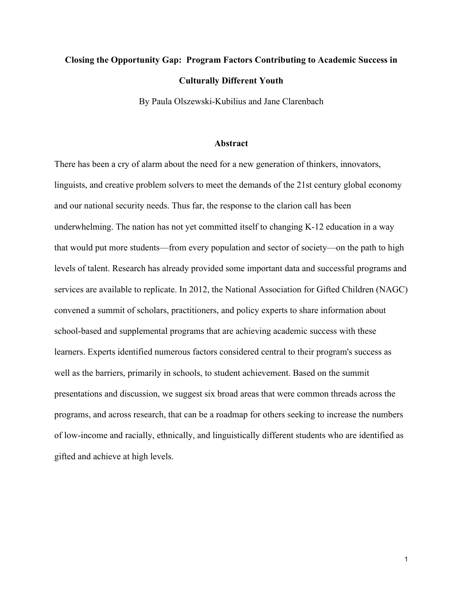# **Closing the Opportunity Gap: Program Factors Contributing to Academic Success in Culturally Different Youth**

By Paula Olszewski-Kubilius and Jane Clarenbach

#### **Abstract**

There has been a cry of alarm about the need for a new generation of thinkers, innovators, linguists, and creative problem solvers to meet the demands of the 21st century global economy and our national security needs. Thus far, the response to the clarion call has been underwhelming. The nation has not yet committed itself to changing K-12 education in a way that would put more students—from every population and sector of society—on the path to high levels of talent. Research has already provided some important data and successful programs and services are available to replicate. In 2012, the National Association for Gifted Children (NAGC) convened a summit of scholars, practitioners, and policy experts to share information about school-based and supplemental programs that are achieving academic success with these learners. Experts identified numerous factors considered central to their program's success as well as the barriers, primarily in schools, to student achievement. Based on the summit presentations and discussion, we suggest six broad areas that were common threads across the programs, and across research, that can be a roadmap for others seeking to increase the numbers of low-income and racially, ethnically, and linguistically different students who are identified as gifted and achieve at high levels.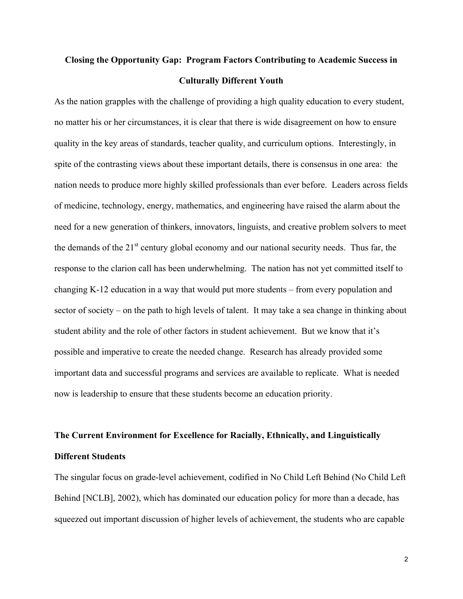## **Closing the Opportunity Gap: Program Factors Contributing to Academic Success in Culturally Different Youth**

As the nation grapples with the challenge of providing a high quality education to every student, no matter his or her circumstances, it is clear that there is wide disagreement on how to ensure quality in the key areas of standards, teacher quality, and curriculum options. Interestingly, in spite of the contrasting views about these important details, there is consensus in one area: the nation needs to produce more highly skilled professionals than ever before. Leaders across fields of medicine, technology, energy, mathematics, and engineering have raised the alarm about the need for a new generation of thinkers, innovators, linguists, and creative problem solvers to meet the demands of the  $21<sup>st</sup>$  century global economy and our national security needs. Thus far, the response to the clarion call has been underwhelming. The nation has not yet committed itself to changing K-12 education in a way that would put more students – from every population and sector of society – on the path to high levels of talent. It may take a sea change in thinking about student ability and the role of other factors in student achievement. But we know that it's possible and imperative to create the needed change. Research has already provided some important data and successful programs and services are available to replicate. What is needed now is leadership to ensure that these students become an education priority.

## **The Current Environment for Excellence for Racially, Ethnically, and Linguistically Different Students**

The singular focus on grade-level achievement, codified in No Child Left Behind (No Child Left Behind [NCLB], 2002), which has dominated our education policy for more than a decade, has squeezed out important discussion of higher levels of achievement, the students who are capable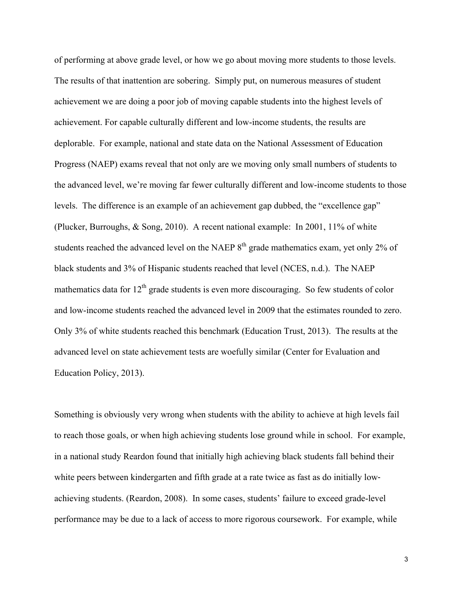The results of that inattention are sobering. Simply put, on numerous measures of student achievement. For capable culturally different and low-income students, the results are deplorable. For example, national and state data on the National Assessment of Education (Plucker, Burroughs, & Song, 2010). A recent national example: In 2001, 11% of white students reached the advanced level on the NAEP  $8<sup>th</sup>$  grade mathematics exam, yet only 2% of of performing at above grade level, or how we go about moving more students to those levels. achievement we are doing a poor job of moving capable students into the highest levels of Progress (NAEP) exams reveal that not only are we moving only small numbers of students to the advanced level, we're moving far fewer culturally different and low-income students to those levels. The difference is an example of an achievement gap dubbed, the "excellence gap" black students and 3% of Hispanic students reached that level (NCES, n.d.). The NAEP mathematics data for  $12<sup>th</sup>$  grade students is even more discouraging. So few students of color and low-income students reached the advanced level in 2009 that the estimates rounded to zero. Only 3% of white students reached this benchmark (Education Trust, 2013). The results at the advanced level on state achievement tests are woefully similar (Center for Evaluation and Education Policy, 2013).

 achieving students. (Reardon, 2008). In some cases, students' failure to exceed grade-level Something is obviously very wrong when students with the ability to achieve at high levels fail to reach those goals, or when high achieving students lose ground while in school. For example, in a national study Reardon found that initially high achieving black students fall behind their white peers between kindergarten and fifth grade at a rate twice as fast as do initially lowperformance may be due to a lack of access to more rigorous coursework. For example, while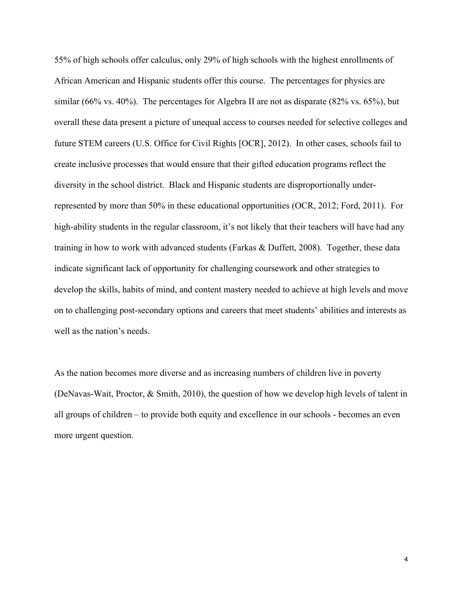African American and Hispanic students offer this course. The percentages for physics are similar (66% vs. 40%). The percentages for Algebra II are not as disparate (82% vs. 65%), but create inclusive processes that would ensure that their gifted education programs reflect the 55% of high schools offer calculus, only 29% of high schools with the highest enrollments of overall these data present a picture of unequal access to courses needed for selective colleges and future STEM careers (U.S. Office for Civil Rights [OCR], 2012). In other cases, schools fail to diversity in the school district. Black and Hispanic students are disproportionally underrepresented by more than 50% in these educational opportunities (OCR, 2012; Ford, 2011). For high-ability students in the regular classroom, it's not likely that their teachers will have had any training in how to work with advanced students (Farkas & Duffett, 2008). Together, these data indicate significant lack of opportunity for challenging coursework and other strategies to develop the skills, habits of mind, and content mastery needed to achieve at high levels and move on to challenging post-secondary options and careers that meet students' abilities and interests as well as the nation's needs.

 all groups of children – to provide both equity and excellence in our schools - becomes an even more urgent question. As the nation becomes more diverse and as increasing numbers of children live in poverty (DeNavas-Wait, Proctor, & Smith, 2010), the question of how we develop high levels of talent in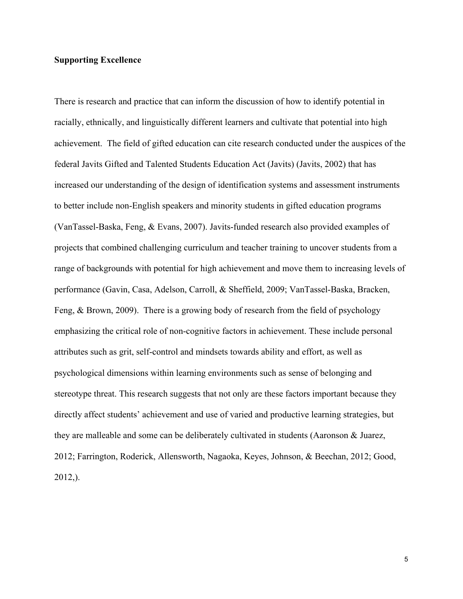## **Supporting Excellence**

 federal Javits Gifted and Talented Students Education Act (Javits) (Javits, 2002) that has projects that combined challenging curriculum and teacher training to uncover students from a Feng, & Brown, 2009). There is a growing body of research from the field of psychology emphasizing the critical role of non-cognitive factors in achievement. These include personal attributes such as grit, self-control and mindsets towards ability and effort, as well as directly affect students' achievement and use of varied and productive learning strategies, but they are malleable and some can be deliberately cultivated in students (Aaronson & Juarez, There is research and practice that can inform the discussion of how to identify potential in racially, ethnically, and linguistically different learners and cultivate that potential into high achievement. The field of gifted education can cite research conducted under the auspices of the increased our understanding of the design of identification systems and assessment instruments to better include non-English speakers and minority students in gifted education programs (VanTassel-Baska, Feng, & Evans, 2007). Javits-funded research also provided examples of range of backgrounds with potential for high achievement and move them to increasing levels of performance (Gavin, Casa, Adelson, Carroll, & Sheffield, 2009; VanTassel-Baska, Bracken, psychological dimensions within learning environments such as sense of belonging and stereotype threat. This research suggests that not only are these factors important because they 2012; Farrington, Roderick, Allensworth, Nagaoka, Keyes, Johnson, & Beechan, 2012; Good, 2012,).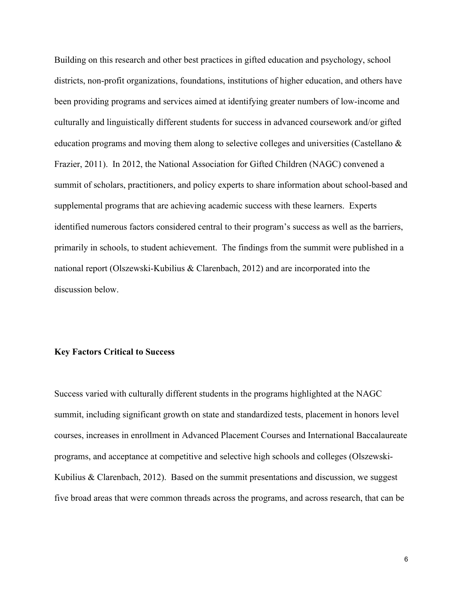culturally and linguistically different students for success in advanced coursework and/or gifted identified numerous factors considered central to their program's success as well as the barriers, Building on this research and other best practices in gifted education and psychology, school districts, non-profit organizations, foundations, institutions of higher education, and others have been providing programs and services aimed at identifying greater numbers of low-income and education programs and moving them along to selective colleges and universities (Castellano & Frazier, 2011). In 2012, the National Association for Gifted Children (NAGC) convened a summit of scholars, practitioners, and policy experts to share information about school-based and supplemental programs that are achieving academic success with these learners. Experts primarily in schools, to student achievement. The findings from the summit were published in a national report (Olszewski-Kubilius & Clarenbach, 2012) and are incorporated into the discussion below.

## **Key Factors Critical to Success**

 five broad areas that were common threads across the programs, and across research, that can be Success varied with culturally different students in the programs highlighted at the NAGC summit, including significant growth on state and standardized tests, placement in honors level courses, increases in enrollment in Advanced Placement Courses and International Baccalaureate programs, and acceptance at competitive and selective high schools and colleges (Olszewski-Kubilius  $\&$  Clarenbach, 2012). Based on the summit presentations and discussion, we suggest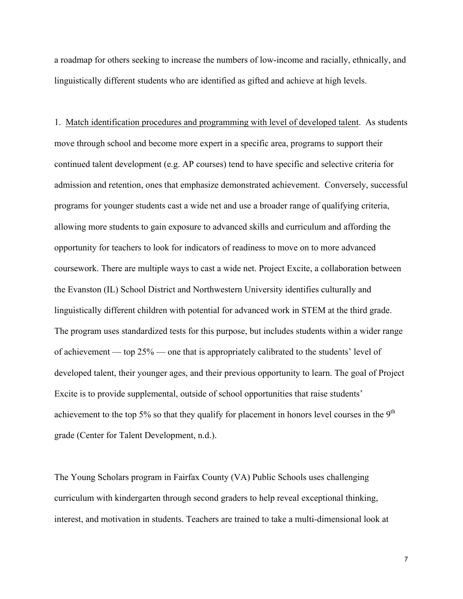linguistically different students who are identified as gifted and achieve at high levels. a roadmap for others seeking to increase the numbers of low-income and racially, ethnically, and

 programs for younger students cast a wide net and use a broader range of qualifying criteria, of achievement — top 25% — one that is appropriately calibrated to the students' level of 1. Match identification procedures and programming with level of developed talent. As students move through school and become more expert in a specific area, programs to support their continued talent development (e.g. AP courses) tend to have specific and selective criteria for admission and retention, ones that emphasize demonstrated achievement. Conversely, successful allowing more students to gain exposure to advanced skills and curriculum and affording the opportunity for teachers to look for indicators of readiness to move on to more advanced coursework. There are multiple ways to cast a wide net. Project Excite, a collaboration between the Evanston (IL) School District and Northwestern University identifies culturally and linguistically different children with potential for advanced work in STEM at the third grade. The program uses standardized tests for this purpose, but includes students within a wider range developed talent, their younger ages, and their previous opportunity to learn. The goal of Project Excite is to provide supplemental, outside of school opportunities that raise students' achievement to the top 5% so that they qualify for placement in honors level courses in the  $9<sup>th</sup>$ grade (Center for Talent Development, n.d.).

 The Young Scholars program in Fairfax County (VA) Public Schools uses challenging curriculum with kindergarten through second graders to help reveal exceptional thinking, interest, and motivation in students. Teachers are trained to take a multi-dimensional look at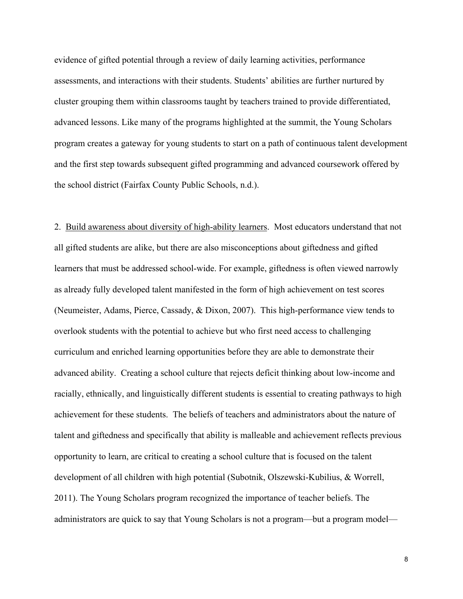evidence of gifted potential through a review of daily learning activities, performance assessments, and interactions with their students. Students' abilities are further nurtured by cluster grouping them within classrooms taught by teachers trained to provide differentiated, advanced lessons. Like many of the programs highlighted at the summit, the Young Scholars program creates a gateway for young students to start on a path of continuous talent development and the first step towards subsequent gifted programming and advanced coursework offered by the school district (Fairfax County Public Schools, n.d.).

2. Build awareness about diversity of high-ability learners. Most educators understand that not as already fully developed talent manifested in the form of high achievement on test scores (Neumeister, Adams, Pierce, Cassady, & Dixon, 2007). This high-performance view tends to 2011). The Young Scholars program recognized the importance of teacher beliefs. The all gifted students are alike, but there are also misconceptions about giftedness and gifted learners that must be addressed school-wide. For example, giftedness is often viewed narrowly overlook students with the potential to achieve but who first need access to challenging curriculum and enriched learning opportunities before they are able to demonstrate their advanced ability. Creating a school culture that rejects deficit thinking about low-income and racially, ethnically, and linguistically different students is essential to creating pathways to high achievement for these students. The beliefs of teachers and administrators about the nature of talent and giftedness and specifically that ability is malleable and achievement reflects previous opportunity to learn, are critical to creating a school culture that is focused on the talent development of all children with high potential (Subotnik, Olszewski-Kubilius, & Worrell, administrators are quick to say that Young Scholars is not a program—but a program model—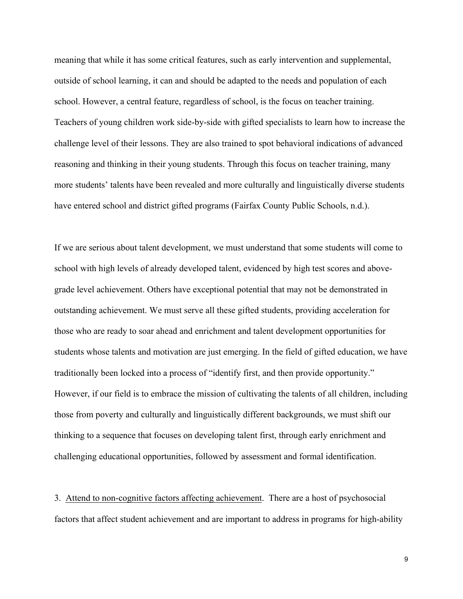meaning that while it has some critical features, such as early intervention and supplemental, outside of school learning, it can and should be adapted to the needs and population of each school. However, a central feature, regardless of school, is the focus on teacher training. Teachers of young children work side-by-side with gifted specialists to learn how to increase the challenge level of their lessons. They are also trained to spot behavioral indications of advanced reasoning and thinking in their young students. Through this focus on teacher training, many more students' talents have been revealed and more culturally and linguistically diverse students have entered school and district gifted programs (Fairfax County Public Schools, n.d.).

If we are serious about talent development, we must understand that some students will come to school with high levels of already developed talent, evidenced by high test scores and abovegrade level achievement. Others have exceptional potential that may not be demonstrated in outstanding achievement. We must serve all these gifted students, providing acceleration for those who are ready to soar ahead and enrichment and talent development opportunities for students whose talents and motivation are just emerging. In the field of gifted education, we have traditionally been locked into a process of "identify first, and then provide opportunity." However, if our field is to embrace the mission of cultivating the talents of all children, including those from poverty and culturally and linguistically different backgrounds, we must shift our thinking to a sequence that focuses on developing talent first, through early enrichment and challenging educational opportunities, followed by assessment and formal identification.

3. Attend to non-cognitive factors affecting achievement. There are a host of psychosocial factors that affect student achievement and are important to address in programs for high-ability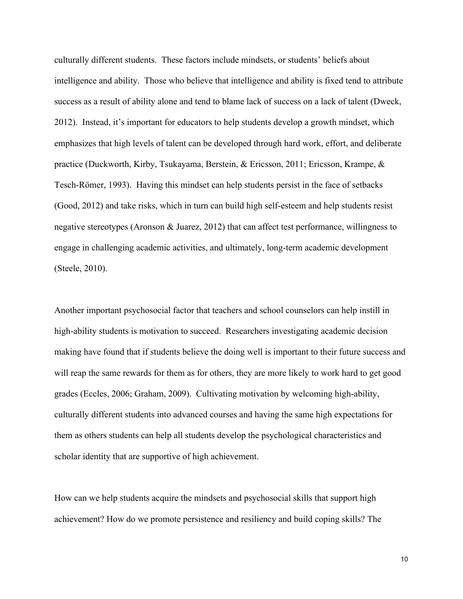intelligence and ability. Those who believe that intelligence and ability is fixed tend to attribute (Good, 2012) and take risks, which in turn can build high self-esteem and help students resist negative stereotypes (Aronson & Juarez, 2012) that can affect test performance, willingness to engage in challenging academic activities, and ultimately, long-term academic development (Steele, 2010). culturally different students. These factors include mindsets, or students' beliefs about success as a result of ability alone and tend to blame lack of success on a lack of talent (Dweck, 2012). Instead, it's important for educators to help students develop a growth mindset, which emphasizes that high levels of talent can be developed through hard work, effort, and deliberate practice (Duckworth, Kirby, Tsukayama, Berstein, & Ericsson, 2011; Ericsson, Krampe, & Tesch-Römer, 1993). Having this mindset can help students persist in the face of setbacks

Another important psychosocial factor that teachers and school counselors can help instill in high-ability students is motivation to succeed. Researchers investigating academic decision making have found that if students believe the doing well is important to their future success and will reap the same rewards for them as for others, they are more likely to work hard to get good grades (Eccles, 2006; Graham, 2009). Cultivating motivation by welcoming high-ability, culturally different students into advanced courses and having the same high expectations for them as others students can help all students develop the psychological characteristics and scholar identity that are supportive of high achievement.

 How can we help students acquire the mindsets and psychosocial skills that support high achievement? How do we promote persistence and resiliency and build coping skills? The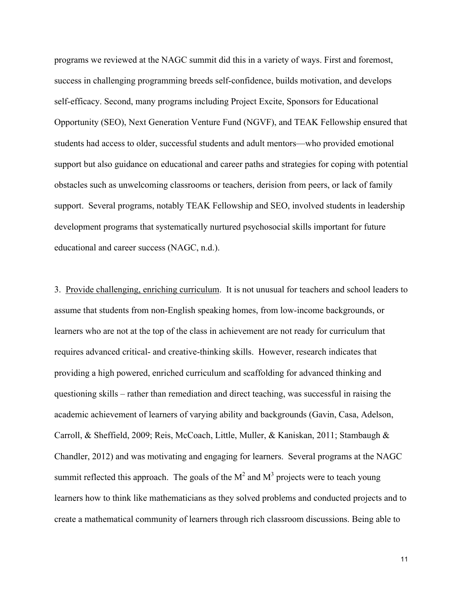programs we reviewed at the NAGC summit did this in a variety of ways. First and foremost, success in challenging programming breeds self-confidence, builds motivation, and develops self-efficacy. Second, many programs including Project Excite, Sponsors for Educational Opportunity (SEO), Next Generation Venture Fund (NGVF), and TEAK Fellowship ensured that students had access to older, successful students and adult mentors—who provided emotional support but also guidance on educational and career paths and strategies for coping with potential obstacles such as unwelcoming classrooms or teachers, derision from peers, or lack of family support. Several programs, notably TEAK Fellowship and SEO, involved students in leadership development programs that systematically nurtured psychosocial skills important for future educational and career success (NAGC, n.d.).

3. Provide challenging, enriching curriculum. It is not unusual for teachers and school leaders to questioning skills – rather than remediation and direct teaching, was successful in raising the Chandler, 2012) and was motivating and engaging for learners. Several programs at the NAGC summit reflected this approach. The goals of the  $M^2$  and  $M^3$  projects were to teach young assume that students from non-English speaking homes, from low-income backgrounds, or learners who are not at the top of the class in achievement are not ready for curriculum that requires advanced critical- and creative-thinking skills. However, research indicates that providing a high powered, enriched curriculum and scaffolding for advanced thinking and academic achievement of learners of varying ability and backgrounds (Gavin, Casa, Adelson, Carroll, & Sheffield, 2009; Reis, McCoach, Little, Muller, & Kaniskan, 2011; Stambaugh & learners how to think like mathematicians as they solved problems and conducted projects and to create a mathematical community of learners through rich classroom discussions. Being able to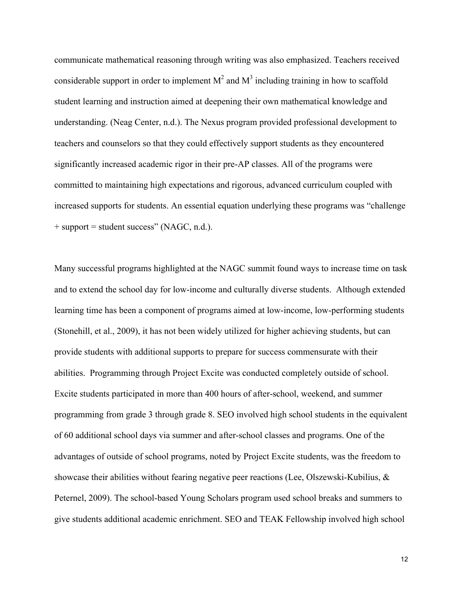considerable support in order to implement  $M^2$  and  $M^3$  including training in how to scaffold student learning and instruction aimed at deepening their own mathematical knowledge and communicate mathematical reasoning through writing was also emphasized. Teachers received understanding. (Neag Center, n.d.). The Nexus program provided professional development to teachers and counselors so that they could effectively support students as they encountered significantly increased academic rigor in their pre-AP classes. All of the programs were committed to maintaining high expectations and rigorous, advanced curriculum coupled with increased supports for students. An essential equation underlying these programs was "challenge + support = student success" (NAGC, n.d.).

 Peternel, 2009). The school-based Young Scholars program used school breaks and summers to Many successful programs highlighted at the NAGC summit found ways to increase time on task and to extend the school day for low-income and culturally diverse students. Although extended learning time has been a component of programs aimed at low-income, low-performing students (Stonehill, et al., 2009), it has not been widely utilized for higher achieving students, but can provide students with additional supports to prepare for success commensurate with their abilities. Programming through Project Excite was conducted completely outside of school. Excite students participated in more than 400 hours of after-school, weekend, and summer programming from grade 3 through grade 8. SEO involved high school students in the equivalent of 60 additional school days via summer and after-school classes and programs. One of the advantages of outside of school programs, noted by Project Excite students, was the freedom to showcase their abilities without fearing negative peer reactions (Lee, Olszewski-Kubilius, & give students additional academic enrichment. SEO and TEAK Fellowship involved high school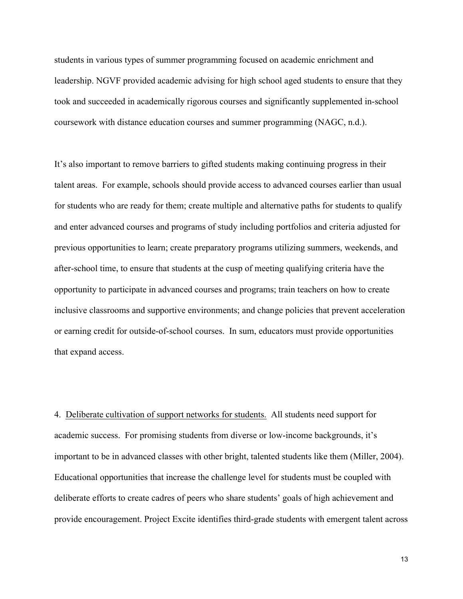students in various types of summer programming focused on academic enrichment and leadership. NGVF provided academic advising for high school aged students to ensure that they took and succeeded in academically rigorous courses and significantly supplemented in-school coursework with distance education courses and summer programming (NAGC, n.d.).

that expand access. that expand access.<br>4. Deliberate cultivation of support networks for students. All students need support for It's also important to remove barriers to gifted students making continuing progress in their talent areas. For example, schools should provide access to advanced courses earlier than usual for students who are ready for them; create multiple and alternative paths for students to qualify and enter advanced courses and programs of study including portfolios and criteria adjusted for previous opportunities to learn; create preparatory programs utilizing summers, weekends, and after-school time, to ensure that students at the cusp of meeting qualifying criteria have the opportunity to participate in advanced courses and programs; train teachers on how to create inclusive classrooms and supportive environments; and change policies that prevent acceleration or earning credit for outside-of-school courses. In sum, educators must provide opportunities

academic success. For promising students from diverse or low-income backgrounds, it's important to be in advanced classes with other bright, talented students like them (Miller, 2004). Educational opportunities that increase the challenge level for students must be coupled with deliberate efforts to create cadres of peers who share students' goals of high achievement and provide encouragement. Project Excite identifies third-grade students with emergent talent across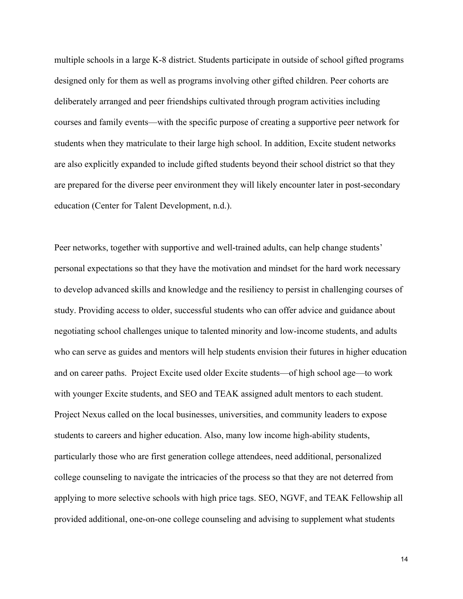designed only for them as well as programs involving other gifted children. Peer cohorts are deliberately arranged and peer friendships cultivated through program activities including students when they matriculate to their large high school. In addition, Excite student networks are also explicitly expanded to include gifted students beyond their school district so that they are prepared for the diverse peer environment they will likely encounter later in post-secondary multiple schools in a large K-8 district. Students participate in outside of school gifted programs courses and family events—with the specific purpose of creating a supportive peer network for education (Center for Talent Development, n.d.).

 Project Nexus called on the local businesses, universities, and community leaders to expose Peer networks, together with supportive and well-trained adults, can help change students' personal expectations so that they have the motivation and mindset for the hard work necessary to develop advanced skills and knowledge and the resiliency to persist in challenging courses of study. Providing access to older, successful students who can offer advice and guidance about negotiating school challenges unique to talented minority and low-income students, and adults who can serve as guides and mentors will help students envision their futures in higher education and on career paths. Project Excite used older Excite students—of high school age—to work with younger Excite students, and SEO and TEAK assigned adult mentors to each student. students to careers and higher education. Also, many low income high-ability students, particularly those who are first generation college attendees, need additional, personalized college counseling to navigate the intricacies of the process so that they are not deterred from applying to more selective schools with high price tags. SEO, NGVF, and TEAK Fellowship all provided additional, one-on-one college counseling and advising to supplement what students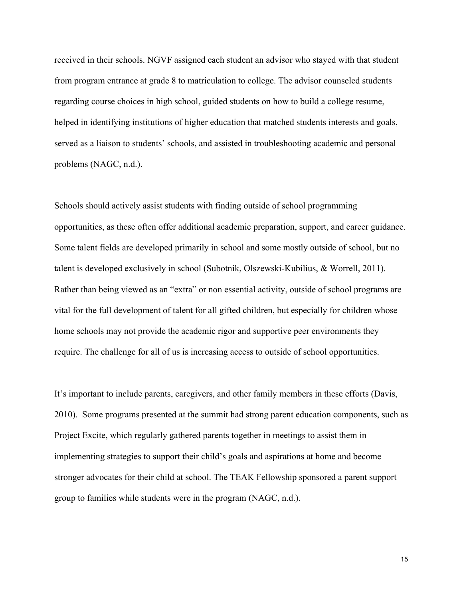problems (NAGC, n.d.). problems (NAGC, n.d.).<br>Schools should actively assist students with finding outside of school programming received in their schools. NGVF assigned each student an advisor who stayed with that student from program entrance at grade 8 to matriculation to college. The advisor counseled students regarding course choices in high school, guided students on how to build a college resume, helped in identifying institutions of higher education that matched students interests and goals, served as a liaison to students' schools, and assisted in troubleshooting academic and personal

require. The challenge for all of us is increasing access to outside of school opportunities.<br>It's important to include parents, caregivers, and other family members in these efforts (Davis, opportunities, as these often offer additional academic preparation, support, and career guidance. Some talent fields are developed primarily in school and some mostly outside of school, but no talent is developed exclusively in school (Subotnik, Olszewski-Kubilius, & Worrell, 2011). Rather than being viewed as an "extra" or non essential activity, outside of school programs are vital for the full development of talent for all gifted children, but especially for children whose home schools may not provide the academic rigor and supportive peer environments they

It's important to include parents, caregivers, and other family members in these efforts (Davis, 2010). Some programs presented at the summit had strong parent education components, such as Project Excite, which regularly gathered parents together in meetings to assist them in implementing strategies to support their child's goals and aspirations at home and become stronger advocates for their child at school. The TEAK Fellowship sponsored a parent support group to families while students were in the program (NAGC, n.d.).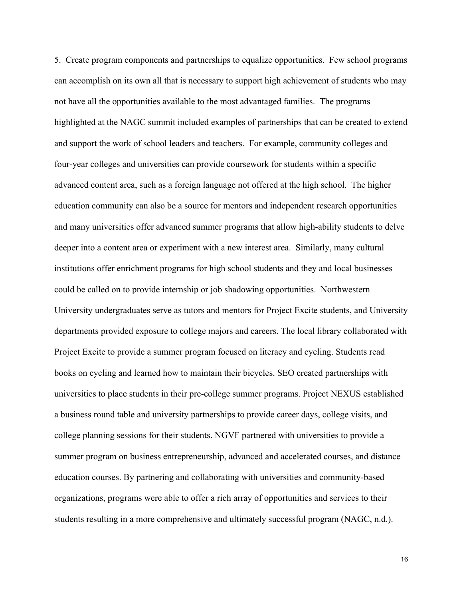5. Create program components and partnerships to equalize opportunities. Few school programs and support the work of school leaders and teachers. For example, community colleges and summer program on business entrepreneurship, advanced and accelerated courses, and distance can accomplish on its own all that is necessary to support high achievement of students who may not have all the opportunities available to the most advantaged families. The programs highlighted at the NAGC summit included examples of partnerships that can be created to extend four-year colleges and universities can provide coursework for students within a specific advanced content area, such as a foreign language not offered at the high school. The higher education community can also be a source for mentors and independent research opportunities and many universities offer advanced summer programs that allow high-ability students to delve deeper into a content area or experiment with a new interest area. Similarly, many cultural institutions offer enrichment programs for high school students and they and local businesses could be called on to provide internship or job shadowing opportunities. Northwestern University undergraduates serve as tutors and mentors for Project Excite students, and University departments provided exposure to college majors and careers. The local library collaborated with Project Excite to provide a summer program focused on literacy and cycling. Students read books on cycling and learned how to maintain their bicycles. SEO created partnerships with universities to place students in their pre-college summer programs. Project NEXUS established a business round table and university partnerships to provide career days, college visits, and college planning sessions for their students. NGVF partnered with universities to provide a education courses. By partnering and collaborating with universities and community-based organizations, programs were able to offer a rich array of opportunities and services to their students resulting in a more comprehensive and ultimately successful program (NAGC, n.d.).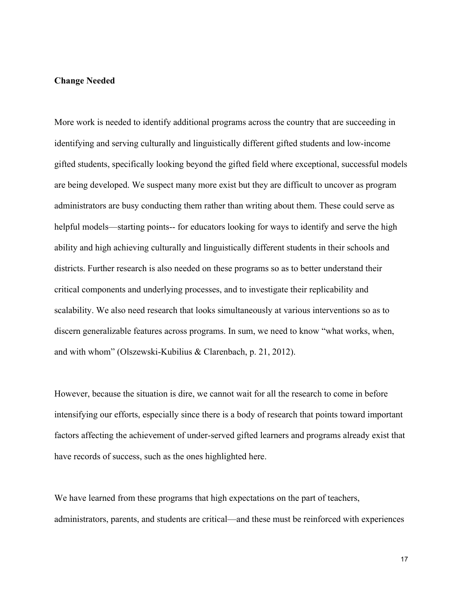## **Change Needed**

 More work is needed to identify additional programs across the country that are succeeding in helpful models—starting points-- for educators looking for ways to identify and serve the high ability and high achieving culturally and linguistically different students in their schools and critical components and underlying processes, and to investigate their replicability and scalability. We also need research that looks simultaneously at various interventions so as to identifying and serving culturally and linguistically different gifted students and low-income gifted students, specifically looking beyond the gifted field where exceptional, successful models are being developed. We suspect many more exist but they are difficult to uncover as program administrators are busy conducting them rather than writing about them. These could serve as districts. Further research is also needed on these programs so as to better understand their discern generalizable features across programs. In sum, we need to know "what works, when, and with whom" (Olszewski-Kubilius & Clarenbach, p. 21, 2012).

 However, because the situation is dire, we cannot wait for all the research to come in before intensifying our efforts, especially since there is a body of research that points toward important factors affecting the achievement of under-served gifted learners and programs already exist that have records of success, such as the ones highlighted here.

We have learned from these programs that high expectations on the part of teachers, administrators, parents, and students are critical—and these must be reinforced with experiences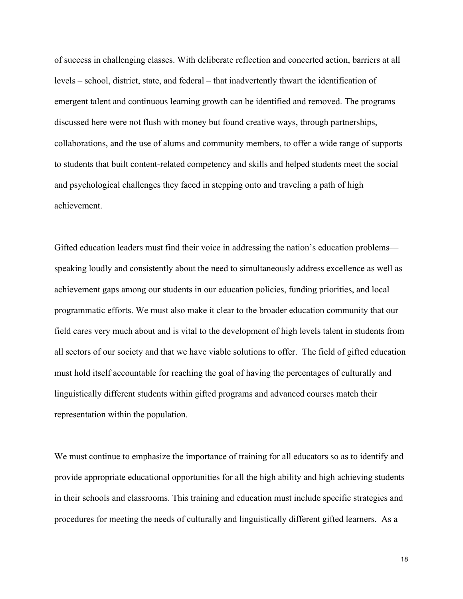of success in challenging classes. With deliberate reflection and concerted action, barriers at all levels – school, district, state, and federal – that inadvertently thwart the identification of to students that built content-related competency and skills and helped students meet the social emergent talent and continuous learning growth can be identified and removed. The programs discussed here were not flush with money but found creative ways, through partnerships, collaborations, and the use of alums and community members, to offer a wide range of supports and psychological challenges they faced in stepping onto and traveling a path of high achievement.

 achievement gaps among our students in our education policies, funding priorities, and local field cares very much about and is vital to the development of high levels talent in students from all sectors of our society and that we have viable solutions to offer. The field of gifted education Gifted education leaders must find their voice in addressing the nation's education problems speaking loudly and consistently about the need to simultaneously address excellence as well as programmatic efforts. We must also make it clear to the broader education community that our must hold itself accountable for reaching the goal of having the percentages of culturally and linguistically different students within gifted programs and advanced courses match their representation within the population.

We must continue to emphasize the importance of training for all educators so as to identify and provide appropriate educational opportunities for all the high ability and high achieving students in their schools and classrooms. This training and education must include specific strategies and procedures for meeting the needs of culturally and linguistically different gifted learners. As a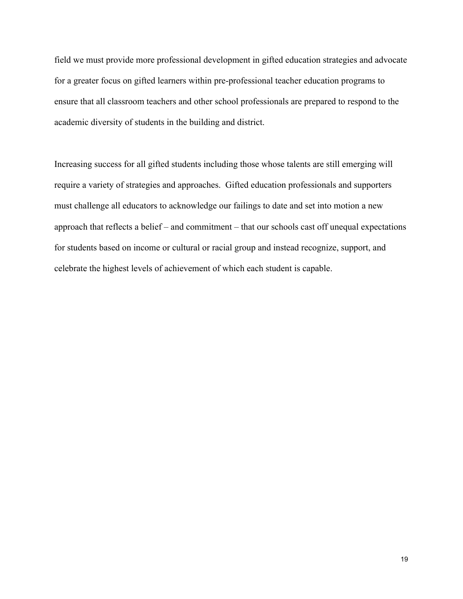field we must provide more professional development in gifted education strategies and advocate for a greater focus on gifted learners within pre-professional teacher education programs to ensure that all classroom teachers and other school professionals are prepared to respond to the academic diversity of students in the building and district.

 Increasing success for all gifted students including those whose talents are still emerging will approach that reflects a belief – and commitment – that our schools cast off unequal expectations require a variety of strategies and approaches. Gifted education professionals and supporters must challenge all educators to acknowledge our failings to date and set into motion a new for students based on income or cultural or racial group and instead recognize, support, and celebrate the highest levels of achievement of which each student is capable.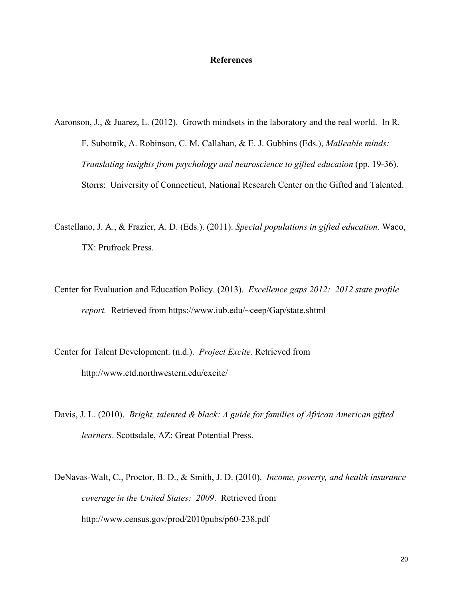### **References**

Aaronson, J., & Juarez, L. (2012). Growth mindsets in the laboratory and the real world. In R. F. Subotnik, A. Robinson, C. M. Callahan, & E. J. Gubbins (Eds.), *Malleable minds: Translating insights from psychology and neuroscience to gifted education* (pp. 19-36). Storrs: University of Connecticut, National Research Center on the Gifted and Talented.

- Castellano, J. A., & Frazier, A. D. (Eds.). (2011). *Special populations in gifted education*. Waco, TX: Prufrock Press.
- *report.* Retrieved from https://www.iub.edu/~ceep/Gap/state.shtml Center for Evaluation and Education Policy. (2013). *Excellence gaps 2012: 2012 state profile*
- Center for Talent Development. (n.d.). *Project Excite.* Retrieved from http://www.ctd.northwestern.edu/excite/
- Davis, J. L. (2010). *Bright, talented & black: A guide for families of African American gifted learners*. Scottsdale, AZ: Great Potential Press.
- DeNavas-Walt, C., Proctor, B. D., & Smith, J. D. (2010). *Income, poverty, and health insurance coverage in the United States: 2009*. Retrieved from http://www.census.gov/prod/2010pubs/p60-238.pdf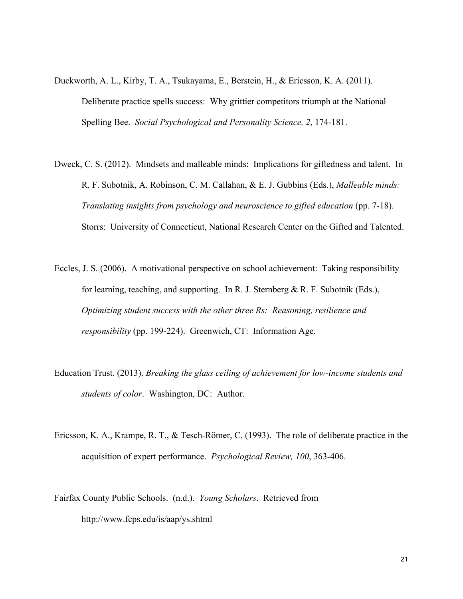- Duckworth, A. L., Kirby, T. A., Tsukayama, E., Berstein, H., & Ericsson, K. A. (2011). Deliberate practice spells success: Why grittier competitors triumph at the National Spelling Bee. *Social Psychological and Personality Science, 2*, 174-181.
- Dweck, C. S. (2012). Mindsets and malleable minds: Implications for giftedness and talent. In R. F. Subotnik, A. Robinson, C. M. Callahan, & E. J. Gubbins (Eds.), *Malleable minds: Translating insights from psychology and neuroscience to gifted education* (pp. 7-18). Storrs: University of Connecticut, National Research Center on the Gifted and Talented.
- Eccles, J. S. (2006). A motivational perspective on school achievement: Taking responsibility for learning, teaching, and supporting. In R. J. Sternberg  $\& R$ . F. Subotnik (Eds.), *Optimizing student success with the other three Rs: Reasoning, resilience and responsibility* (pp. 199-224). Greenwich, CT: Information Age.
- Education Trust. (2013). *Breaking the glass ceiling of achievement for low-income students and students of color*. Washington, DC: Author.
- Ericsson, K. A., Krampe, R. T., & Tesch-Römer, C. (1993). The role of deliberate practice in the acquisition of expert performance. *Psychological Review, 100*, 363-406.
- Fairfax County Public Schools. (n.d.). *Young Scholars*. Retrieved from http://www.fcps.edu/is/aap/ys.shtml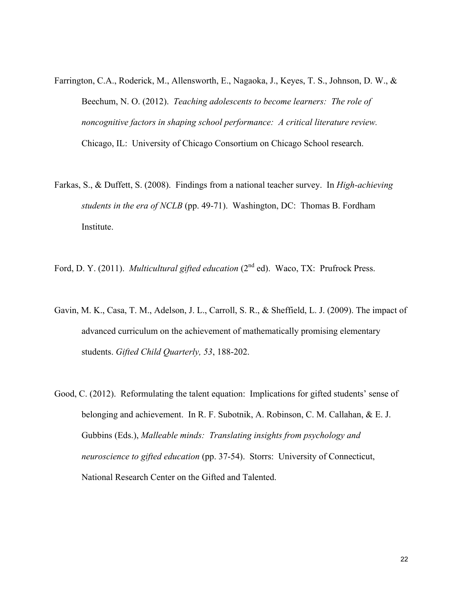- Farrington, C.A., Roderick, M., Allensworth, E., Nagaoka, J., Keyes, T. S., Johnson, D. W., & Beechum, N. O. (2012). *Teaching adolescents to become learners: The role of noncognitive factors in shaping school performance: A critical literature review.*  Chicago, IL: University of Chicago Consortium on Chicago School research.
- Farkas, S., & Duffett, S. (2008). Findings from a national teacher survey. In *High-achieving students in the era of NCLB* (pp. 49-71). Washington, DC: Thomas B. Fordham Institute.
- Ford, D. Y. (2011). *Multicultural gifted education* (2<sup>nd</sup> ed). Waco, TX: Prufrock Press.
- Gavin, M. K., Casa, T. M., Adelson, J. L., Carroll, S. R., & Sheffield, L. J. (2009). The impact of advanced curriculum on the achievement of mathematically promising elementary students. *Gifted Child Quarterly, 53*, 188-202.
- Good, C. (2012). Reformulating the talent equation: Implications for gifted students' sense of belonging and achievement. In R. F. Subotnik, A. Robinson, C. M. Callahan, & E. J. Gubbins (Eds.), *Malleable minds: Translating insights from psychology and neuroscience to gifted education* (pp. 37-54). Storrs: University of Connecticut, National Research Center on the Gifted and Talented.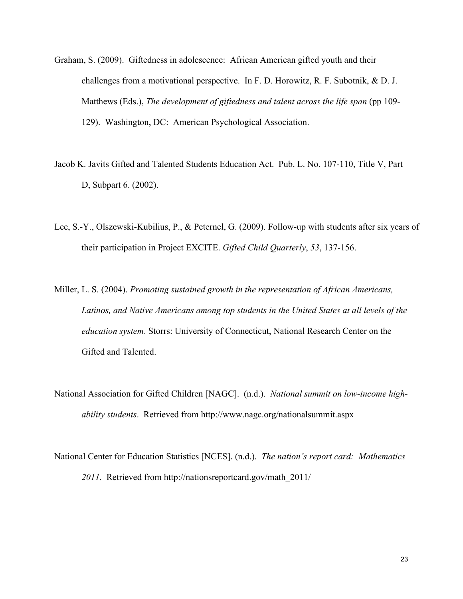- Graham, S. (2009). Giftedness in adolescence: African American gifted youth and their challenges from a motivational perspective. In F. D. Horowitz, R. F. Subotnik, & D. J. Matthews (Eds.), *The development of giftedness and talent across the life span* (pp 109-129). Washington, DC: American Psychological Association.
- D, Subpart 6. (2002). Jacob K. Javits Gifted and Talented Students Education Act. Pub. L. No. 107-110, Title V, Part
- Lee, S.-Y., Olszewski-Kubilius, P., & Peternel, G. (2009). Follow-up with students after six years of their participation in Project EXCITE. *Gifted Child Quarterly*, *53*, 137-156.
- Miller, L. S. (2004). *Promoting sustained growth in the representation of African Americans, Latinos, and Native Americans among top students in the United States at all levels of the education system*. Storrs: University of Connecticut, National Research Center on the Gifted and Talented.
- National Association for Gifted Children [NAGC]. (n.d.). *National summit on low-income highability students*. Retrieved from http://www.nagc.org/nationalsummit.aspx
- *2011.* Retrieved from http://nationsreportcard.gov/math\_2011/ National Center for Education Statistics [NCES]. (n.d.). *The nation's report card: Mathematics*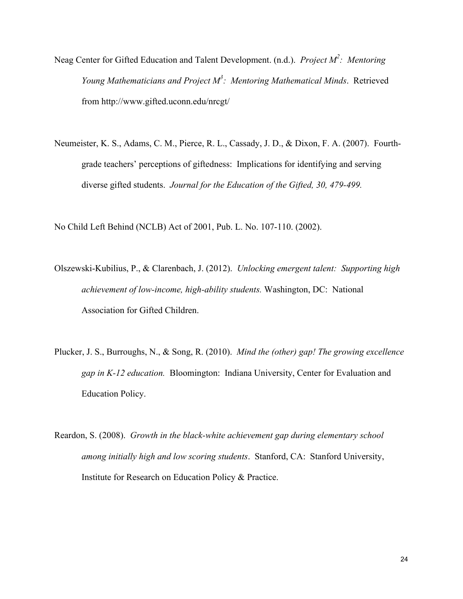- Neag Center for Gifted Education and Talent Development. (n.d.). *Project M<sup>2</sup>: Mentoring Young Mathematicians and Project M3 : Mentoring Mathematical Minds*. Retrieved from http://www.gifted.uconn.edu/nrcgt/
- Neumeister, K. S., Adams, C. M., Pierce, R. L., Cassady, J. D., & Dixon, F. A. (2007). Fourthgrade teachers' perceptions of giftedness: Implications for identifying and serving diverse gifted students. *Journal for the Education of the Gifted, 30, 479-499.*

No Child Left Behind (NCLB) Act of 2001, Pub. L. No. 107-110. (2002).

- Olszewski-Kubilius, P., & Clarenbach, J. (2012). *Unlocking emergent talent: Supporting high achievement of low-income, high-ability students.* Washington, DC: National Association for Gifted Children.
- *gap in K-12 education.* Bloomington: Indiana University, Center for Evaluation and Plucker, J. S., Burroughs, N., & Song, R. (2010). *Mind the (other) gap! The growing excellence*  Education Policy.
- Reardon, S. (2008). *Growth in the black-white achievement gap during elementary school among initially high and low scoring students*. Stanford, CA: Stanford University, Institute for Research on Education Policy & Practice.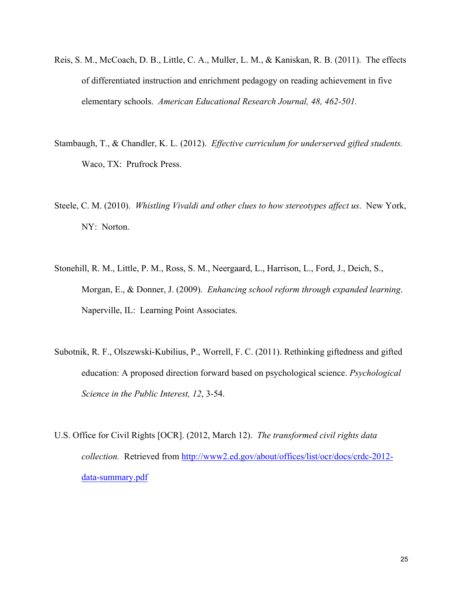- Reis, S. M., McCoach, D. B., Little, C. A., Muller, L. M., & Kaniskan, R. B. (2011). The effects of differentiated instruction and enrichment pedagogy on reading achievement in five elementary schools. *American Educational Research Journal, 48, 462-501.*
- Stambaugh, T., & Chandler, K. L. (2012). *Effective curriculum for underserved gifted students.*  Waco, TX: Prufrock Press.
- Steele, C. M. (2010). *Whistling Vivaldi and other clues to how stereotypes affect us*. New York, NY: Norton.
- Stonehill, R. M., Little, P. M., Ross, S. M., Neergaard, L., Harrison, L., Ford, J., Deich, S., Morgan, E., & Donner, J. (2009). *Enhancing school reform through expanded learning*. Naperville, IL: Learning Point Associates.
- Subotnik, R. F., Olszewski-Kubilius, P., Worrell, F. C. (2011). Rethinking giftedness and gifted education: A proposed direction forward based on psychological science. *Psychological Science in the Public Interest, 12*, 3-54.
- *collection.* Retrieved from http://www2.ed.gov/about/offices/list/ocr/docs/crdc-2012 data-summary.pdf U.S. Office for Civil Rights [OCR]. (2012, March 12). *The transformed civil rights data*